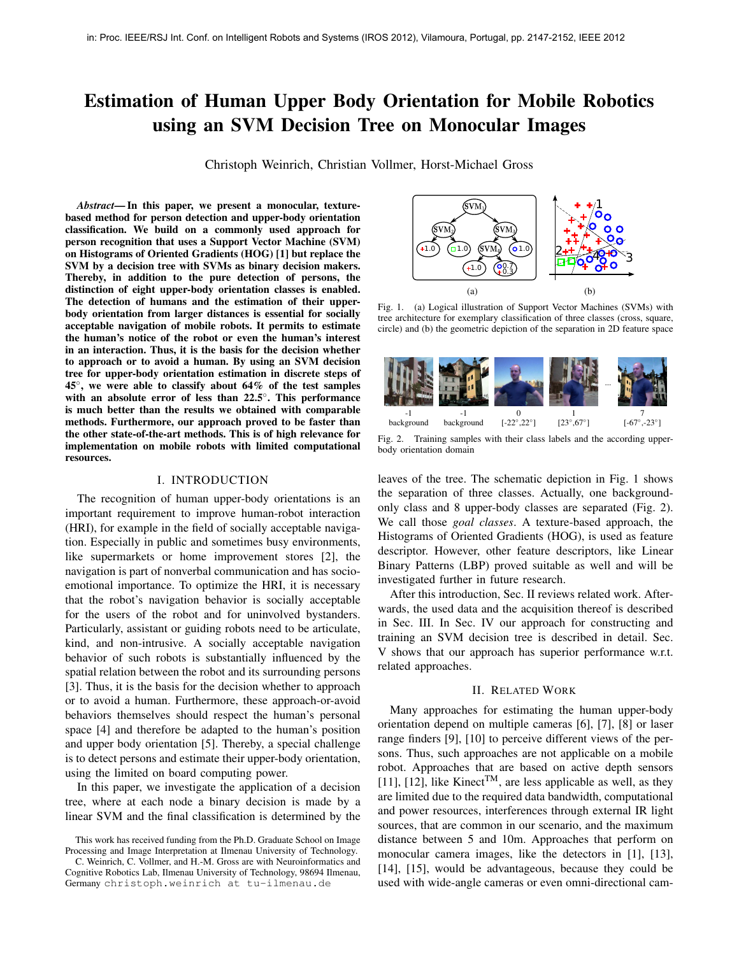# Estimation of Human Upper Body Orientation for Mobile Robotics using an SVM Decision Tree on Monocular Images

Christoph Weinrich, Christian Vollmer, Horst-Michael Gross

*Abstract*— In this paper, we present a monocular, texturebased method for person detection and upper-body orientation classification. We build on a commonly used approach for person recognition that uses a Support Vector Machine (SVM) on Histograms of Oriented Gradients (HOG) [1] but replace the SVM by a decision tree with SVMs as binary decision makers. Thereby, in addition to the pure detection of persons, the distinction of eight upper-body orientation classes is enabled. The detection of humans and the estimation of their upperbody orientation from larger distances is essential for socially acceptable navigation of mobile robots. It permits to estimate the human's notice of the robot or even the human's interest in an interaction. Thus, it is the basis for the decision whether to approach or to avoid a human. By using an SVM decision tree for upper-body orientation estimation in discrete steps of 45◦ , we were able to classify about 64% of the test samples with an absolute error of less than 22.5°. This performance is much better than the results we obtained with comparable methods. Furthermore, our approach proved to be faster than the other state-of-the-art methods. This is of high relevance for implementation on mobile robots with limited computational resources.

## I. INTRODUCTION

The recognition of human upper-body orientations is an important requirement to improve human-robot interaction (HRI), for example in the field of socially acceptable navigation. Especially in public and sometimes busy environments, like supermarkets or home improvement stores [2], the navigation is part of nonverbal communication and has socioemotional importance. To optimize the HRI, it is necessary that the robot's navigation behavior is socially acceptable for the users of the robot and for uninvolved bystanders. Particularly, assistant or guiding robots need to be articulate, kind, and non-intrusive. A socially acceptable navigation behavior of such robots is substantially influenced by the spatial relation between the robot and its surrounding persons [3]. Thus, it is the basis for the decision whether to approach or to avoid a human. Furthermore, these approach-or-avoid behaviors themselves should respect the human's personal space [4] and therefore be adapted to the human's position and upper body orientation [5]. Thereby, a special challenge is to detect persons and estimate their upper-body orientation, using the limited on board computing power.

In this paper, we investigate the application of a decision tree, where at each node a binary decision is made by a linear SVM and the final classification is determined by the



Fig. 1. (a) Logical illustration of Support Vector Machines (SVMs) with tree architecture for exemplary classification of three classes (cross, square, circle) and (b) the geometric depiction of the separation in 2D feature space



Fig. 2. Training samples with their class labels and the according upperbody orientation domain

leaves of the tree. The schematic depiction in Fig. 1 shows the separation of three classes. Actually, one backgroundonly class and 8 upper-body classes are separated (Fig. 2). We call those *goal classes*. A texture-based approach, the Histograms of Oriented Gradients (HOG), is used as feature descriptor. However, other feature descriptors, like Linear Binary Patterns (LBP) proved suitable as well and will be investigated further in future research.

After this introduction, Sec. II reviews related work. Afterwards, the used data and the acquisition thereof is described in Sec. III. In Sec. IV our approach for constructing and training an SVM decision tree is described in detail. Sec. V shows that our approach has superior performance w.r.t. related approaches.

## II. RELATED WORK

Many approaches for estimating the human upper-body orientation depend on multiple cameras [6], [7], [8] or laser range finders [9], [10] to perceive different views of the persons. Thus, such approaches are not applicable on a mobile robot. Approaches that are based on active depth sensors [11], [12], like Kinect<sup>TM</sup>, are less applicable as well, as they are limited due to the required data bandwidth, computational and power resources, interferences through external IR light sources, that are common in our scenario, and the maximum distance between 5 and 10m. Approaches that perform on monocular camera images, like the detectors in [1], [13], [14], [15], would be advantageous, because they could be used with wide-angle cameras or even omni-directional cam-

This work has received funding from the Ph.D. Graduate School on Image Processing and Image Interpretation at Ilmenau University of Technology.

C. Weinrich, C. Vollmer, and H.-M. Gross are with Neuroinformatics and Cognitive Robotics Lab, Ilmenau University of Technology, 98694 Ilmenau, Germany christoph.weinrich at tu-ilmenau.de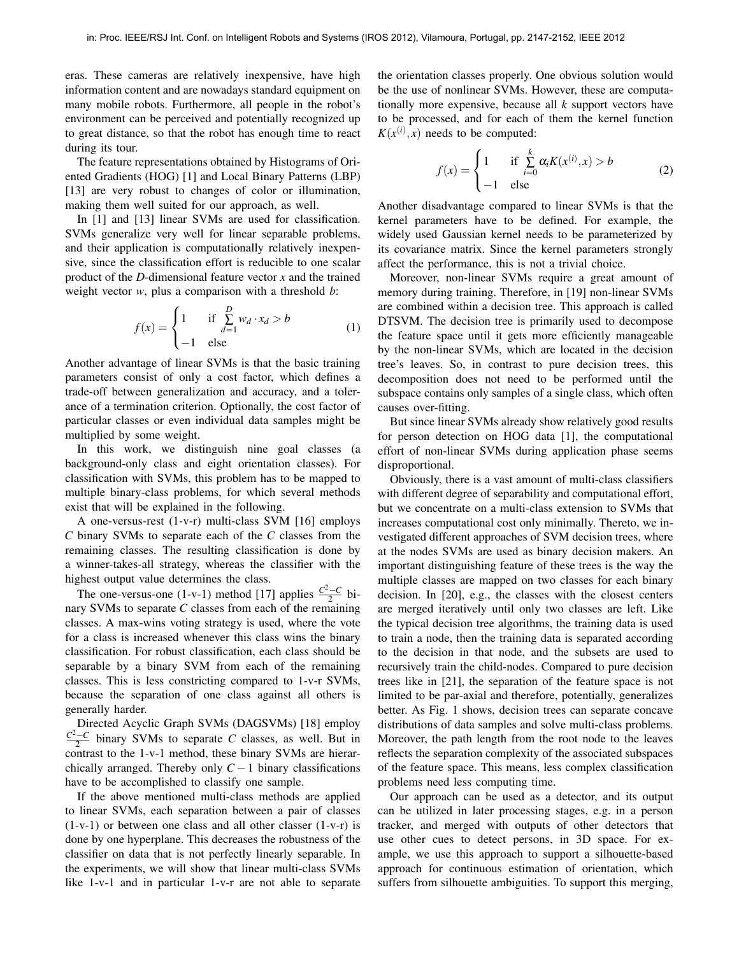eras. These cameras are relatively inexpensive, have high information content and are nowadays standard equipment on many mobile robots. Furthermore, all people in the robot's environment can be perceived and potentially recognized up to great distance, so that the robot has enough time to react during its tour.

The feature representations obtained by Histograms of Oriented Gradients (HOG) [1] and Local Binary Patterns (LBP) [13] are very robust to changes of color or illumination, making them well suited for our approach, as well.

In [1] and [13] linear SVMs are used for classification. SVMs generalize very well for linear separable problems, and their application is computationally relatively inexpensive, since the classification effort is reducible to one scalar product of the *D*-dimensional feature vector *x* and the trained weight vector *w*, plus a comparison with a threshold *b*:

$$
f(x) = \begin{cases} 1 & \text{if } \sum_{d=1}^{D} w_d \cdot x_d > b \\ -1 & \text{else} \end{cases}
$$
 (1)

Another advantage of linear SVMs is that the basic training parameters consist of only a cost factor, which defines a trade-off between generalization and accuracy, and a tolerance of a termination criterion. Optionally, the cost factor of particular classes or even individual data samples might be multiplied by some weight.

In this work, we distinguish nine goal classes (a background-only class and eight orientation classes). For classification with SVMs, this problem has to be mapped to multiple binary-class problems, for which several methods exist that will be explained in the following.

A one-versus-rest (1-v-r) multi-class SVM [16] employs *C* binary SVMs to separate each of the *C* classes from the remaining classes. The resulting classification is done by a winner-takes-all strategy, whereas the classifier with the highest output value determines the class.

The one-versus-one (1-v-1) method [17] applies  $\frac{C^2 - C}{2}$  binary SVMs to separate *C* classes from each of the remaining classes. A max-wins voting strategy is used, where the vote for a class is increased whenever this class wins the binary classification. For robust classification, each class should be separable by a binary SVM from each of the remaining classes. This is less constricting compared to 1-v-r SVMs, because the separation of one class against all others is generally harder.

Directed Acyclic Graph SVMs (DAGSVMs) [18] employ  $\frac{C^2 - C}{2}$  binary SVMs to separate *C* classes, as well. But in contrast to the 1-v-1 method, these binary SVMs are hierarchically arranged. Thereby only  $C - 1$  binary classifications have to be accomplished to classify one sample.

If the above mentioned multi-class methods are applied to linear SVMs, each separation between a pair of classes (1-v-1) or between one class and all other classer (1-v-r) is done by one hyperplane. This decreases the robustness of the classifier on data that is not perfectly linearly separable. In the experiments, we will show that linear multi-class SVMs like 1-v-1 and in particular 1-v-r are not able to separate the orientation classes properly. One obvious solution would be the use of nonlinear SVMs. However, these are computationally more expensive, because all *k* support vectors have to be processed, and for each of them the kernel function  $K(x^{(i)}, x)$  needs to be computed:

$$
f(x) = \begin{cases} 1 & \text{if } \sum_{i=0}^{k} \alpha_i K(x^{(i)}, x) > b \\ -1 & \text{else} \end{cases}
$$
 (2)

Another disadvantage compared to linear SVMs is that the kernel parameters have to be defined. For example, the widely used Gaussian kernel needs to be parameterized by its covariance matrix. Since the kernel parameters strongly affect the performance, this is not a trivial choice.

Moreover, non-linear SVMs require a great amount of memory during training. Therefore, in [19] non-linear SVMs are combined within a decision tree. This approach is called DTSVM. The decision tree is primarily used to decompose the feature space until it gets more efficiently manageable by the non-linear SVMs, which are located in the decision tree's leaves. So, in contrast to pure decision trees, this decomposition does not need to be performed until the subspace contains only samples of a single class, which often causes over-fitting.

But since linear SVMs already show relatively good results for person detection on HOG data [1], the computational effort of non-linear SVMs during application phase seems disproportional.

Obviously, there is a vast amount of multi-class classifiers with different degree of separability and computational effort, but we concentrate on a multi-class extension to SVMs that increases computational cost only minimally. Thereto, we investigated different approaches of SVM decision trees, where at the nodes SVMs are used as binary decision makers. An important distinguishing feature of these trees is the way the multiple classes are mapped on two classes for each binary decision. In [20], e.g., the classes with the closest centers are merged iteratively until only two classes are left. Like the typical decision tree algorithms, the training data is used to train a node, then the training data is separated according to the decision in that node, and the subsets are used to recursively train the child-nodes. Compared to pure decision trees like in [21], the separation of the feature space is not limited to be par-axial and therefore, potentially, generalizes better. As Fig. 1 shows, decision trees can separate concave distributions of data samples and solve multi-class problems. Moreover, the path length from the root node to the leaves reflects the separation complexity of the associated subspaces of the feature space. This means, less complex classification problems need less computing time.

Our approach can be used as a detector, and its output can be utilized in later processing stages, e.g. in a person tracker, and merged with outputs of other detectors that use other cues to detect persons, in 3D space. For example, we use this approach to support a silhouette-based approach for continuous estimation of orientation, which suffers from silhouette ambiguities. To support this merging,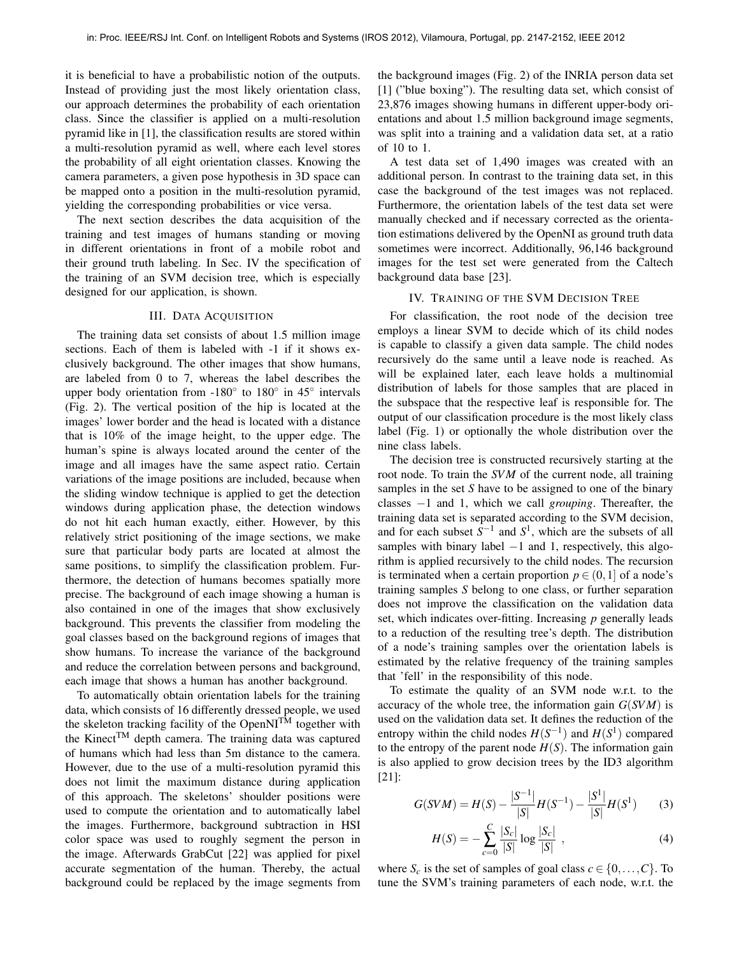it is beneficial to have a probabilistic notion of the outputs. Instead of providing just the most likely orientation class, our approach determines the probability of each orientation class. Since the classifier is applied on a multi-resolution pyramid like in [1], the classification results are stored within a multi-resolution pyramid as well, where each level stores the probability of all eight orientation classes. Knowing the camera parameters, a given pose hypothesis in 3D space can be mapped onto a position in the multi-resolution pyramid, yielding the corresponding probabilities or vice versa.

The next section describes the data acquisition of the training and test images of humans standing or moving in different orientations in front of a mobile robot and their ground truth labeling. In Sec. IV the specification of the training of an SVM decision tree, which is especially designed for our application, is shown.

#### III. DATA ACQUISITION

The training data set consists of about 1.5 million image sections. Each of them is labeled with -1 if it shows exclusively background. The other images that show humans, are labeled from 0 to 7, whereas the label describes the upper body orientation from -180° to 180° in 45° intervals (Fig. 2). The vertical position of the hip is located at the images' lower border and the head is located with a distance that is 10% of the image height, to the upper edge. The human's spine is always located around the center of the image and all images have the same aspect ratio. Certain variations of the image positions are included, because when the sliding window technique is applied to get the detection windows during application phase, the detection windows do not hit each human exactly, either. However, by this relatively strict positioning of the image sections, we make sure that particular body parts are located at almost the same positions, to simplify the classification problem. Furthermore, the detection of humans becomes spatially more precise. The background of each image showing a human is also contained in one of the images that show exclusively background. This prevents the classifier from modeling the goal classes based on the background regions of images that show humans. To increase the variance of the background and reduce the correlation between persons and background, each image that shows a human has another background.

To automatically obtain orientation labels for the training data, which consists of 16 differently dressed people, we used the skeleton tracking facility of the OpenNI<sup>TM</sup> together with the Kinect<sup>TM</sup> depth camera. The training data was captured of humans which had less than 5m distance to the camera. However, due to the use of a multi-resolution pyramid this does not limit the maximum distance during application of this approach. The skeletons' shoulder positions were used to compute the orientation and to automatically label the images. Furthermore, background subtraction in HSI color space was used to roughly segment the person in the image. Afterwards GrabCut [22] was applied for pixel accurate segmentation of the human. Thereby, the actual background could be replaced by the image segments from the background images (Fig. 2) of the INRIA person data set [1] ("blue boxing"). The resulting data set, which consist of 23,876 images showing humans in different upper-body orientations and about 1.5 million background image segments, was split into a training and a validation data set, at a ratio of 10 to 1.

A test data set of 1,490 images was created with an additional person. In contrast to the training data set, in this case the background of the test images was not replaced. Furthermore, the orientation labels of the test data set were manually checked and if necessary corrected as the orientation estimations delivered by the OpenNI as ground truth data sometimes were incorrect. Additionally, 96,146 background images for the test set were generated from the Caltech background data base [23].

## IV. TRAINING OF THE SVM DECISION TREE

For classification, the root node of the decision tree employs a linear SVM to decide which of its child nodes is capable to classify a given data sample. The child nodes recursively do the same until a leave node is reached. As will be explained later, each leave holds a multinomial distribution of labels for those samples that are placed in the subspace that the respective leaf is responsible for. The output of our classification procedure is the most likely class label (Fig. 1) or optionally the whole distribution over the nine class labels.

The decision tree is constructed recursively starting at the root node. To train the *SVM* of the current node, all training samples in the set *S* have to be assigned to one of the binary classes −1 and 1, which we call *grouping*. Thereafter, the training data set is separated according to the SVM decision, and for each subset  $S^{-1}$  and  $S^1$ , which are the subsets of all samples with binary label  $-1$  and 1, respectively, this algorithm is applied recursively to the child nodes. The recursion is terminated when a certain proportion  $p \in (0,1]$  of a node's training samples *S* belong to one class, or further separation does not improve the classification on the validation data set, which indicates over-fitting. Increasing *p* generally leads to a reduction of the resulting tree's depth. The distribution of a node's training samples over the orientation labels is estimated by the relative frequency of the training samples that 'fell' in the responsibility of this node.

To estimate the quality of an SVM node w.r.t. to the accuracy of the whole tree, the information gain *G*(*SVM*) is used on the validation data set. It defines the reduction of the entropy within the child nodes  $H(S^{-1})$  and  $H(S^1)$  compared to the entropy of the parent node  $H(S)$ . The information gain is also applied to grow decision trees by the ID3 algorithm [21]:

$$
G(SVM) = H(S) - \frac{|S^{-1}|}{|S|}H(S^{-1}) - \frac{|S^1|}{|S|}H(S^1)
$$
 (3)

$$
H(S) = -\sum_{c=0}^{C} \frac{|S_c|}{|S|} \log \frac{|S_c|}{|S|} \tag{4}
$$

where  $S_c$  is the set of samples of goal class  $c \in \{0, \ldots, C\}$ . To tune the SVM's training parameters of each node, w.r.t. the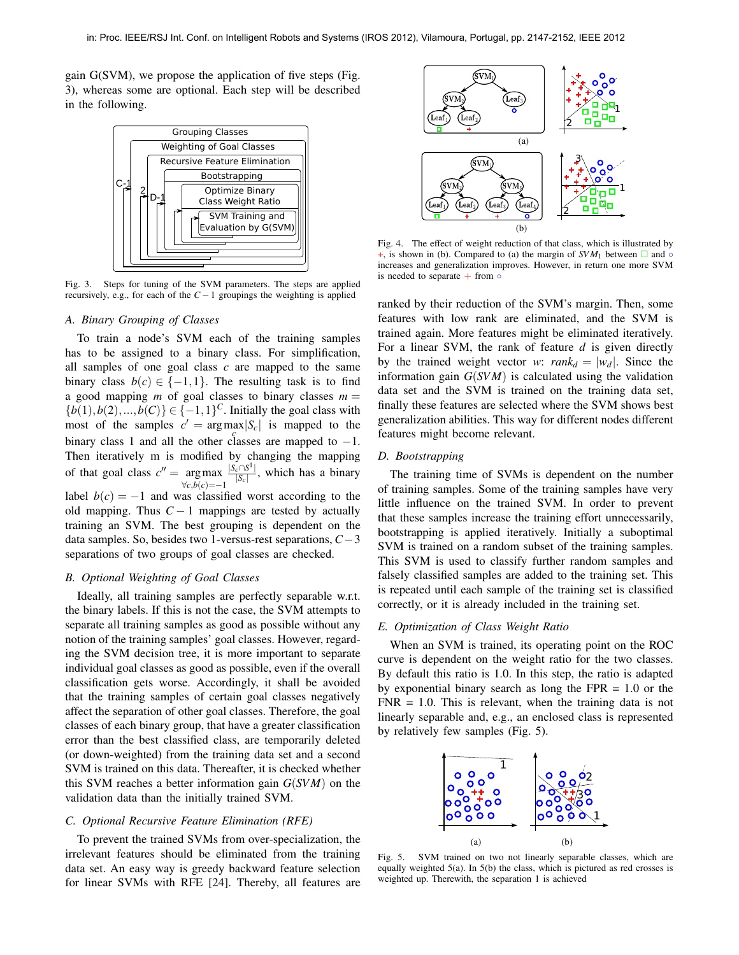gain G(SVM), we propose the application of five steps (Fig. 3), whereas some are optional. Each step will be described in the following.



Fig. 3. Steps for tuning of the SVM parameters. The steps are applied recursively, e.g., for each of the  $C-1$  groupings the weighting is applied

#### *A. Binary Grouping of Classes*

To train a node's SVM each of the training samples has to be assigned to a binary class. For simplification, all samples of one goal class *c* are mapped to the same binary class  $b(c) \in \{-1,1\}$ . The resulting task is to find a good mapping  $m$  of goal classes to binary classes  $m =$  ${b(1), b(2), ..., b(C)} ∈ {-1, 1}^C$ . Initially the goal class with most of the samples  $c' = \arg \max |S_c|$  is mapped to the binary class 1 and all the other classes are mapped to  $-1$ . Then iteratively m is modified by changing the mapping of that goal class  $c'' = \arg \max$ ∀*c*,*b*(*c*)=−1  $|S_c ∩ S^1|$  $\frac{c}{|S_c|}$ , which has a binary label  $b(c) = -1$  and was classified worst according to the old mapping. Thus *C* − 1 mappings are tested by actually training an SVM. The best grouping is dependent on the data samples. So, besides two 1-versus-rest separations, *C*−3 separations of two groups of goal classes are checked.

## *B. Optional Weighting of Goal Classes*

Ideally, all training samples are perfectly separable w.r.t. the binary labels. If this is not the case, the SVM attempts to separate all training samples as good as possible without any notion of the training samples' goal classes. However, regarding the SVM decision tree, it is more important to separate individual goal classes as good as possible, even if the overall classification gets worse. Accordingly, it shall be avoided that the training samples of certain goal classes negatively affect the separation of other goal classes. Therefore, the goal classes of each binary group, that have a greater classification error than the best classified class, are temporarily deleted (or down-weighted) from the training data set and a second SVM is trained on this data. Thereafter, it is checked whether this SVM reaches a better information gain *G*(*SVM*) on the validation data than the initially trained SVM.

### *C. Optional Recursive Feature Elimination (RFE)*

To prevent the trained SVMs from over-specialization, the irrelevant features should be eliminated from the training data set. An easy way is greedy backward feature selection for linear SVMs with RFE [24]. Thereby, all features are



Fig. 4. The effect of weight reduction of that class, which is illustrated by +, is shown in (b). Compared to (a) the margin of  $SVM_1$  between  $\Box$  and  $\circ$ increases and generalization improves. However, in return one more SVM is needed to separate  $+$  from  $\circ$ 

ranked by their reduction of the SVM's margin. Then, some features with low rank are eliminated, and the SVM is trained again. More features might be eliminated iteratively. For a linear SVM, the rank of feature *d* is given directly by the trained weight vector *w*:  $rank_d = |w_d|$ . Since the information gain *G*(*SVM*) is calculated using the validation data set and the SVM is trained on the training data set, finally these features are selected where the SVM shows best generalization abilities. This way for different nodes different features might become relevant.

#### *D. Bootstrapping*

The training time of SVMs is dependent on the number of training samples. Some of the training samples have very little influence on the trained SVM. In order to prevent that these samples increase the training effort unnecessarily, bootstrapping is applied iteratively. Initially a suboptimal SVM is trained on a random subset of the training samples. This SVM is used to classify further random samples and falsely classified samples are added to the training set. This is repeated until each sample of the training set is classified correctly, or it is already included in the training set.

#### *E. Optimization of Class Weight Ratio*

When an SVM is trained, its operating point on the ROC curve is dependent on the weight ratio for the two classes. By default this ratio is 1.0. In this step, the ratio is adapted by exponential binary search as long the FPR = 1.0 or the  $FNR = 1.0$ . This is relevant, when the training data is not linearly separable and, e.g., an enclosed class is represented by relatively few samples (Fig. 5).



Fig. 5. SVM trained on two not linearly separable classes, which are equally weighted 5(a). In 5(b) the class, which is pictured as red crosses is weighted up. Therewith, the separation 1 is achieved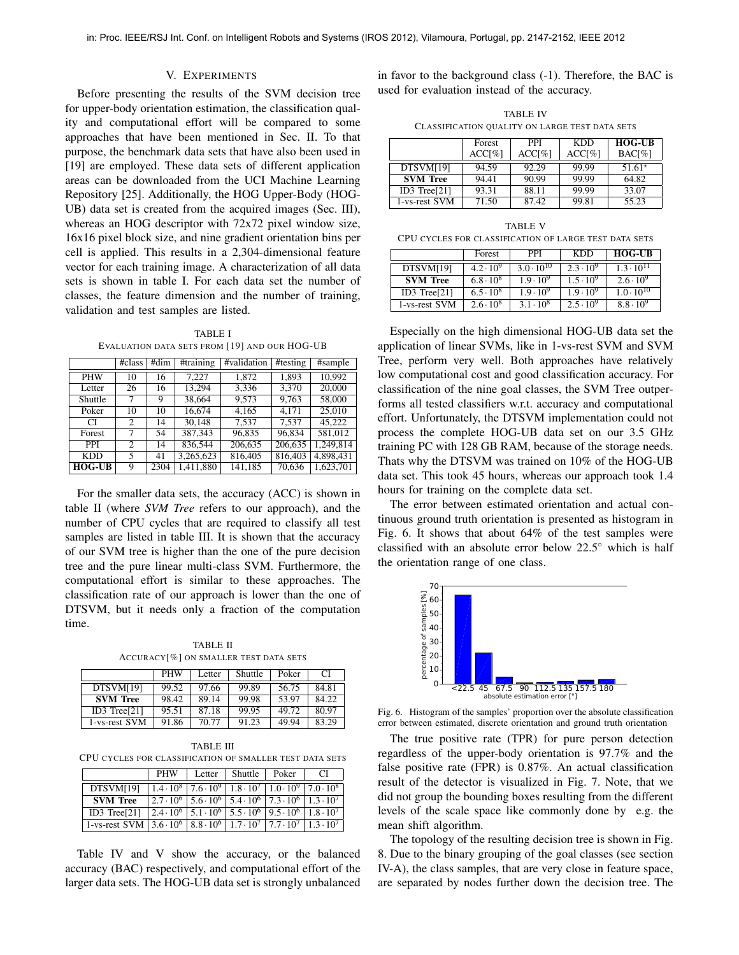#### V. EXPERIMENTS

Before presenting the results of the SVM decision tree for upper-body orientation estimation, the classification quality and computational effort will be compared to some approaches that have been mentioned in Sec. II. To that purpose, the benchmark data sets that have also been used in [19] are employed. These data sets of different application areas can be downloaded from the UCI Machine Learning Repository [25]. Additionally, the HOG Upper-Body (HOG-UB) data set is created from the acquired images (Sec. III), whereas an HOG descriptor with 72x72 pixel window size, 16x16 pixel block size, and nine gradient orientation bins per cell is applied. This results in a 2,304-dimensional feature vector for each training image. A characterization of all data sets is shown in table I. For each data set the number of classes, the feature dimension and the number of training, validation and test samples are listed.

TABLE I EVALUATION DATA SETS FROM [19] AND OUR HOG-UB

|            | #class         | #dim | #training | #validation | #testing | #sample   |
|------------|----------------|------|-----------|-------------|----------|-----------|
| <b>PHW</b> | 10             | 16   | 7.227     | 1.872       | 1.893    | 10.992    |
| Letter     | 26             | 16   | 13.294    | 3.336       | 3.370    | 20,000    |
| Shuttle    | 7              | 9    | 38,664    | 9.573       | 9,763    | 58,000    |
| Poker      | 10             | 10   | 16.674    | 4.165       | 4.171    | 25,010    |
| <b>CI</b>  | 2              | 14   | 30.148    | 7.537       | 7.537    | 45.222    |
| Forest     | 7              | 54   | 387.343   | 96,835      | 96.834   | 581,012   |
| <b>PPI</b> | $\overline{c}$ | 14   | 836.544   | 206,635     | 206,635  | 1.249.814 |
| <b>KDD</b> | 5              | 41   | 3,265,623 | 816,405     | 816,403  | 4.898.431 |
| $HOG-UB$   | 9              | 2304 | 1.411.880 | 141,185     | 70.636   | 1,623,701 |

For the smaller data sets, the accuracy (ACC) is shown in table II (where *SVM Tree* refers to our approach), and the number of CPU cycles that are required to classify all test samples are listed in table III. It is shown that the accuracy of our SVM tree is higher than the one of the pure decision tree and the pure linear multi-class SVM. Furthermore, the computational effort is similar to these approaches. The classification rate of our approach is lower than the one of DTSVM, but it needs only a fraction of the computation time.

TABLE II ACCURACY[%] ON SMALLER TEST DATA SETS

|                 | <b>PHW</b> | Letter | Shuttle | Poker | CI    |
|-----------------|------------|--------|---------|-------|-------|
| DTSVM[19]       | 99.52      | 97.66  | 99.89   | 56.75 | 84.81 |
| <b>SVM</b> Tree | 98.42      | 89.14  | 99.98   | 53.97 | 84.22 |
| ID3 Tree $[21]$ | 95.51      | 87.18  | 99.95   | 49.72 | 80.97 |
| 1-vs-rest SVM   | 91.86      | 70.77  | 91.23   | 49.94 | 83.29 |

TABLE III CPU CYCLES FOR CLASSIFICATION OF SMALLER TEST DATA SETS

|                                                                                                                                                                                              | <b>PHW</b> | Letter | Shuttle | Poker                                                                                        | СI |
|----------------------------------------------------------------------------------------------------------------------------------------------------------------------------------------------|------------|--------|---------|----------------------------------------------------------------------------------------------|----|
| DTSVM[19]                                                                                                                                                                                    |            |        |         | $1.4 \cdot 10^8$   $7.6 \cdot 10^9$   $1.8 \cdot 10^7$   $1.0 \cdot 10^9$   $7.0 \cdot 10^8$ |    |
| <b>SVM</b> Tree                                                                                                                                                                              |            |        |         | $2.7 \cdot 10^6$   5.6 $\cdot 10^6$   5.4 $\cdot 10^6$   7.3 $\cdot 10^6$   1.3 $\cdot 10^7$ |    |
| ID3 Tree [21] $\mid$ 2.4 $\cdot$ 10 <sup>6</sup> $\mid$ 5.1 $\cdot$ 10 <sup>6</sup> $\mid$ 5.5 $\cdot$ 10 <sup>6</sup> $\mid$ 9.5 $\cdot$ 10 <sup>6</sup> $\mid$ 1.8 $\cdot$ 10 <sup>7</sup> |            |        |         |                                                                                              |    |
| 1-vs-rest SVM   3.6 $\cdot$ 10 <sup>6</sup>   8.8 $\cdot$ 10 <sup>6</sup>   1.7 $\cdot$ 10 <sup>7</sup>   7.7 $\cdot$ 10 <sup>7</sup>   1.3 $\cdot$ 10 <sup>7</sup>                          |            |        |         |                                                                                              |    |

Table IV and V show the accuracy, or the balanced accuracy (BAC) respectively, and computational effort of the larger data sets. The HOG-UB data set is strongly unbalanced in favor to the background class (-1). Therefore, the BAC is used for evaluation instead of the accuracy.

TABLE IV CLASSIFICATION QUALITY ON LARGE TEST DATA SETS

|                 | Forest | <b>PPI</b> | <b>KDD</b> | <b>HOG-UB</b> |
|-----------------|--------|------------|------------|---------------|
|                 | ACC[%] | ACC[%]     | ACC[%]     | BAC[%]        |
| DTSVM[19]       | 94.59  | 92.29      | 99.99      | $51.61*$      |
| <b>SVM</b> Tree | 94.41  | 90.99      | 99.99      | 64.82         |
| ID3 Tree $[21]$ | 93.31  | 88.11      | 99.99      | 33.07         |
| 1-vs-rest SVM   | 71.50  | 87.42      | 99.81      | 55.23         |

|                                                       | TABLE V |  |  |  |
|-------------------------------------------------------|---------|--|--|--|
| CPU CYCLES FOR CLASSIFICATION OF LARGE TEST DATA SETS |         |  |  |  |

|                 | Forest             | PPI                 | <b>KDD</b>         | <b>HOG-UB</b>       |
|-----------------|--------------------|---------------------|--------------------|---------------------|
| DTSVM[19]       | $4.2 \cdot 10^{9}$ | $3.0 \cdot 10^{10}$ | $2.3 \cdot 10^{9}$ | $1.3 \cdot 10^{11}$ |
| <b>SVM</b> Tree | $6.8 \cdot 10^8$   | $1.9 \cdot 10^{9}$  | $1.5 \cdot 10^{9}$ | $2.6 \cdot 10^{9}$  |
| ID3 Tree $[21]$ | $6.5 \cdot 10^8$   | $1.9 \cdot 10^{9}$  | $1.9 \cdot 10^{9}$ | $1.0 \cdot 10^{10}$ |
| 1-vs-rest SVM   | $2.6 \cdot 10^8$   | $3.1 \cdot 10^{8}$  | $2.5 \cdot 10^{9}$ | $8.8 \cdot 10^{9}$  |

Especially on the high dimensional HOG-UB data set the application of linear SVMs, like in 1-vs-rest SVM and SVM Tree, perform very well. Both approaches have relatively low computational cost and good classification accuracy. For classification of the nine goal classes, the SVM Tree outperforms all tested classifiers w.r.t. accuracy and computational effort. Unfortunately, the DTSVM implementation could not process the complete HOG-UB data set on our 3.5 GHz training PC with 128 GB RAM, because of the storage needs. Thats why the DTSVM was trained on 10% of the HOG-UB data set. This took 45 hours, whereas our approach took 1.4 hours for training on the complete data set.

The error between estimated orientation and actual continuous ground truth orientation is presented as histogram in Fig. 6. It shows that about 64% of the test samples were classified with an absolute error below 22.5◦ which is half the orientation range of one class.



Fig. 6. Histogram of the samples' proportion over the absolute classification error between estimated, discrete orientation and ground truth orientation

The true positive rate (TPR) for pure person detection regardless of the upper-body orientation is 97.7% and the false positive rate (FPR) is 0.87%. An actual classification result of the detector is visualized in Fig. 7. Note, that we did not group the bounding boxes resulting from the different levels of the scale space like commonly done by e.g. the mean shift algorithm.

The topology of the resulting decision tree is shown in Fig. 8. Due to the binary grouping of the goal classes (see section IV-A), the class samples, that are very close in feature space, are separated by nodes further down the decision tree. The